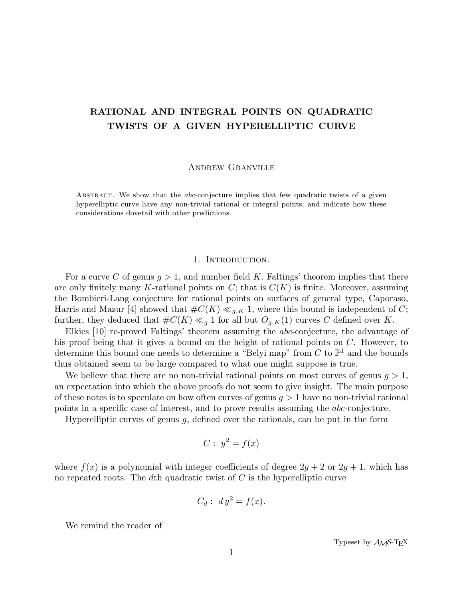# RATIONAL AND INTEGRAL POINTS ON QUADRATIC TWISTS OF A GIVEN HYPERELLIPTIC CURVE

Andrew Granville

ABSTRACT. We show that the *abc*-conjecture implies that few quadratic twists of a given hyperelliptic curve have any non-trivial rational or integral points; and indicate how these considerations dovetail with other predictions.

# 1. INTRODUCTION.

For a curve C of genus  $g > 1$ , and number field K, Faltings' theorem implies that there are only finitely many K-rational points on  $C$ ; that is  $C(K)$  is finite. Moreover, assuming the Bombieri-Lang conjecture for rational points on surfaces of general type, Caporaso, Harris and Mazur [4] showed that  $\#C(K) \ll_{g,K} 1$ , where this bound is independent of C; further, they deduced that  $\#C(K) \ll_q 1$  for all but  $O_{q,K}(1)$  curves C defined over K.

Elkies [10] re-proved Faltings' theorem assuming the abc-conjecture, the advantage of his proof being that it gives a bound on the height of rational points on C. However, to determine this bound one needs to determine a "Belyi map" from  $C$  to  $\mathbb{P}^1$  and the bounds thus obtained seem to be large compared to what one might suppose is true.

We believe that there are no non-trivial rational points on most curves of genus  $q > 1$ , an expectation into which the above proofs do not seem to give insight. The main purpose of these notes is to speculate on how often curves of genus  $g > 1$  have no non-trivial rational points in a specific case of interest, and to prove results assuming the abc-conjecture.

Hyperelliptic curves of genus  $g$ , defined over the rationals, can be put in the form

$$
C: y^2 = f(x)
$$

where  $f(x)$  is a polynomial with integer coefficients of degree  $2g + 2$  or  $2g + 1$ , which has no repeated roots. The dth quadratic twist of  $C$  is the hyperelliptic curve

$$
C_d: dy^2 = f(x).
$$

We remind the reader of

Typeset by  $\mathcal{A} \mathcal{M} \mathcal{S}$ -T<sub>E</sub>X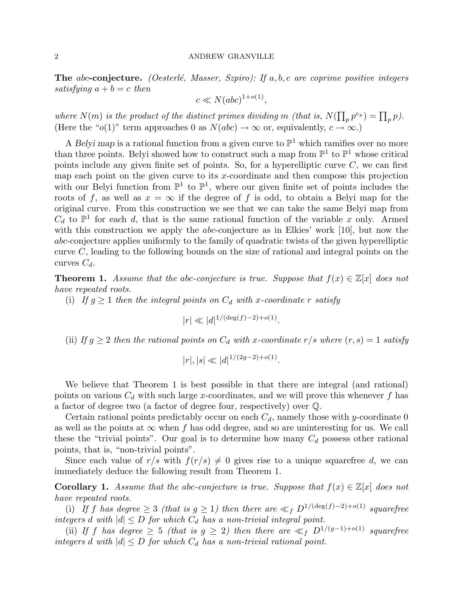**The abc-conjecture.** (Oesterlé, Masser, Szpiro): If a, b, c are coprime positive integers satisfying  $a + b = c$  then

$$
c \ll N(abc)^{1+o(1)},
$$

where  $N(m)$  is the product of the distinct primes dividing m (that is,  $N(\prod_p p^{e_p}) = \prod_p p$ ). (Here the " $o(1)$ " term approaches 0 as  $N(abc) \to \infty$  or, equivalently,  $c \to \infty$ .)

A Belyi map is a rational function from a given curve to  $\mathbb{P}^1$  which ramifies over no more than three points. Belyi showed how to construct such a map from  $\mathbb{P}^1$  to  $\mathbb{P}^1$  whose critical points include any given finite set of points. So, for a hyperelliptic curve  $C$ , we can first map each point on the given curve to its  $x$ -coordinate and then compose this projection with our Belyi function from  $\mathbb{P}^1$  to  $\mathbb{P}^1$ , where our given finite set of points includes the roots of f, as well as  $x = \infty$  if the degree of f is odd, to obtain a Belyi map for the original curve. From this construction we see that we can take the same Belyi map from  $C_d$  to  $\mathbb{P}^1$  for each d, that is the same rational function of the variable x only. Armed with this construction we apply the *abc*-conjecture as in Elkies' work [10], but now the abc-conjecture applies uniformly to the family of quadratic twists of the given hyperelliptic curve C, leading to the following bounds on the size of rational and integral points on the curves  $C_d$ .

**Theorem 1.** Assume that the abc-conjecture is true. Suppose that  $f(x) \in \mathbb{Z}[x]$  does not have repeated roots.

(i) If  $g \geq 1$  then the integral points on  $C_d$  with x-coordinate r satisfy

 $|r| \ll |d|^{1/(\deg(f)-2)+o(1)}.$ 

(ii) If  $g \geq 2$  then the rational points on  $C_d$  with x-coordinate  $r/s$  where  $(r, s) = 1$  satisfy

.

$$
|r|, |s| \ll |d|^{1/(2g-2) + o(1)}
$$

We believe that Theorem 1 is best possible in that there are integral (and rational) points on various  $C_d$  with such large x-coordinates, and we will prove this whenever f has a factor of degree two (a factor of degree four, respectively) over Q.

Certain rational points predictably occur on each  $C_d$ , namely those with y-coordinate 0 as well as the points at  $\infty$  when f has odd degree, and so are uninteresting for us. We call these the "trivial points". Our goal is to determine how many  $C_d$  possess other rational points, that is, "non-trivial points".

Since each value of  $r/s$  with  $f(r/s) \neq 0$  gives rise to a unique squarefree d, we can immediately deduce the following result from Theorem 1.

**Corollary 1.** Assume that the abc-conjecture is true. Suppose that  $f(x) \in \mathbb{Z}[x]$  does not have repeated roots.

(i) If f has degree  $\geq$  3 (that is  $g \geq 1$ ) then there are  $\ll_f D^{1/(\deg(f)-2)+o(1)}$  squarefree integers d with  $|d| \leq D$  for which  $C_d$  has a non-trivial integral point.

(ii) If f has degree  $\geq 5$  (that is  $g \geq 2$ ) then there are  $\ll_f D^{1/(g-1)+o(1)}$  squarefree integers d with  $|d| \leq D$  for which  $C_d$  has a non-trivial rational point.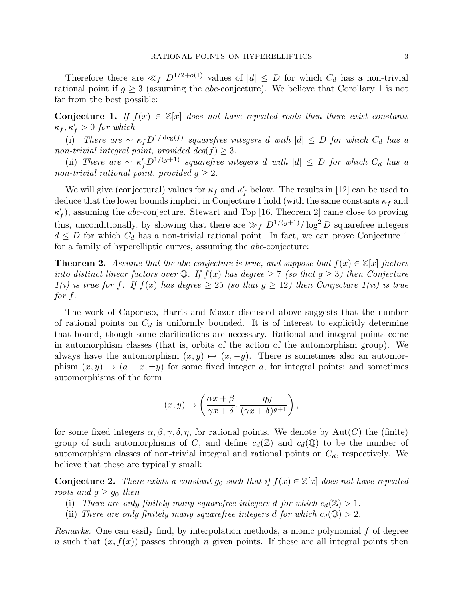Therefore there are  $\ll_f D^{1/2+o(1)}$  values of  $|d| \leq D$  for which  $C_d$  has a non-trivial rational point if  $q > 3$  (assuming the *abc*-conjecture). We believe that Corollary 1 is not far from the best possible:

**Conjecture 1.** If  $f(x) \in \mathbb{Z}[x]$  does not have repeated roots then there exist constants  $\kappa_f, \kappa_f' > 0$  for which

(i) There are  $\sim \kappa_f D^{1/\deg(f)}$  squarefree integers d with  $|d| \leq D$  for which  $C_d$  has a non-trivial integral point, provided  $deg(f) \geq 3$ .

(ii) There are  $\sim \kappa_f' D^{1/(g+1)}$  squarefree integers d with  $|d| \leq D$  for which  $C_d$  has a non-trivial rational point, provided  $g \geq 2$ .

We will give (conjectural) values for  $\kappa_f$  and  $\kappa'_f$  below. The results in [12] can be used to deduce that the lower bounds implicit in Conjecture 1 hold (with the same constants  $\kappa_f$  and  $\kappa'_{f}$ ), assuming the *abc*-conjecture. Stewart and Top [16, Theorem 2] came close to proving this, unconditionally, by showing that there are  $\gg_f D^{1/(g+1)}/ \log^2 D$  squarefree integers  $d \leq D$  for which  $C_d$  has a non-trivial rational point. In fact, we can prove Conjecture 1 for a family of hyperelliptic curves, assuming the abc-conjecture:

**Theorem 2.** Assume that the abc-conjecture is true, and suppose that  $f(x) \in \mathbb{Z}[x]$  factors into distinct linear factors over Q. If  $f(x)$  has degree  $\geq 7$  (so that  $g \geq 3$ ) then Conjecture  $1(i)$  is true for f. If  $f(x)$  has degree  $> 25$  (so that  $g > 12$ ) then Conjecture  $1(ii)$  is true for f.

The work of Caporaso, Harris and Mazur discussed above suggests that the number of rational points on  $C_d$  is uniformly bounded. It is of interest to explicitly determine that bound, though some clarifications are necessary. Rational and integral points come in automorphism classes (that is, orbits of the action of the automorphism group). We always have the automorphism  $(x, y) \mapsto (x, -y)$ . There is sometimes also an automorphism  $(x, y) \mapsto (a - x, \pm y)$  for some fixed integer a, for integral points; and sometimes automorphisms of the form

$$
(x, y) \mapsto \left(\frac{\alpha x + \beta}{\gamma x + \delta}, \frac{\pm \eta y}{(\gamma x + \delta)^{g+1}}\right),
$$

for some fixed integers  $\alpha, \beta, \gamma, \delta, \eta$ , for rational points. We denote by Aut(C) the (finite) group of such automorphisms of C, and define  $c_d(\mathbb{Z})$  and  $c_d(\mathbb{Q})$  to be the number of automorphism classes of non-trivial integral and rational points on  $C_d$ , respectively. We believe that these are typically small:

**Conjecture 2.** There exists a constant  $g_0$  such that if  $f(x) \in \mathbb{Z}[x]$  does not have repeated roots and  $g \ge g_0$  then

- (i) There are only finitely many squarefree integers d for which  $c_d(\mathbb{Z}) > 1$ .
- (ii) There are only finitely many squarefree integers d for which  $c_d(\mathbb{Q}) > 2$ .

Remarks. One can easily find, by interpolation methods, a monic polynomial f of degree n such that  $(x, f(x))$  passes through n given points. If these are all integral points then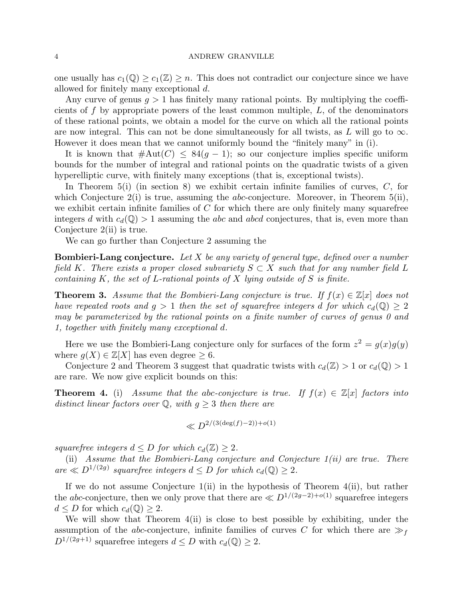one usually has  $c_1(\mathbb{Q}) \geq c_1(\mathbb{Z}) \geq n$ . This does not contradict our conjecture since we have allowed for finitely many exceptional d.

Any curve of genus  $g > 1$  has finitely many rational points. By multiplying the coefficients of  $f$  by appropriate powers of the least common multiple,  $L$ , of the denominators of these rational points, we obtain a model for the curve on which all the rational points are now integral. This can not be done simultaneously for all twists, as L will go to  $\infty$ . However it does mean that we cannot uniformly bound the "finitely many" in (i).

It is known that  $\#\text{Aut}(C) \leq 84(q-1)$ ; so our conjecture implies specific uniform bounds for the number of integral and rational points on the quadratic twists of a given hyperelliptic curve, with finitely many exceptions (that is, exceptional twists).

In Theorem  $5(i)$  (in section 8) we exhibit certain infinite families of curves,  $C$ , for which Conjecture  $2(i)$  is true, assuming the *abc*-conjecture. Moreover, in Theorem  $5(ii)$ , we exhibit certain infinite families of  $C$  for which there are only finitely many squarefree integers d with  $c_d(\mathbb{Q}) > 1$  assuming the abc and abcd conjectures, that is, even more than Conjecture 2(ii) is true.

We can go further than Conjecture 2 assuming the

**Bombieri-Lang conjecture.** Let X be any variety of general type, defined over a number field K. There exists a proper closed subvariety  $S \subset X$  such that for any number field L containing  $K$ , the set of  $L$ -rational points of  $X$  lying outside of  $S$  is finite.

**Theorem 3.** Assume that the Bombieri-Lang conjecture is true. If  $f(x) \in \mathbb{Z}[x]$  does not have repeated roots and  $g > 1$  then the set of squarefree integers d for which  $c_d(\mathbb{Q}) \geq 2$ may be parameterized by the rational points on a finite number of curves of genus 0 and 1, together with finitely many exceptional d.

Here we use the Bombieri-Lang conjecture only for surfaces of the form  $z^2 = g(x)g(y)$ where  $g(X) \in \mathbb{Z}[X]$  has even degree  $\geq 6$ .

Conjecture 2 and Theorem 3 suggest that quadratic twists with  $c_d(\mathbb{Z}) > 1$  or  $c_d(\mathbb{Q}) > 1$ are rare. We now give explicit bounds on this:

**Theorem 4.** (i) Assume that the abc-conjecture is true. If  $f(x) \in \mathbb{Z}[x]$  factors into distinct linear factors over Q, with  $g \geq 3$  then there are

$$
\ll D^{2/(3(\deg(f)-2))+o(1)}
$$

squarefree integers  $d \leq D$  for which  $c_d(\mathbb{Z}) \geq 2$ .

(ii) Assume that the Bombieri-Lang conjecture and Conjecture  $1(ii)$  are true. There are  $\ll D^{1/(2g)}$  squarefree integers  $d \leq D$  for which  $c_d(\mathbb{Q}) \geq 2$ .

If we do not assume Conjecture  $1(i)$  in the hypothesis of Theorem  $4(ii)$ , but rather the abc-conjecture, then we only prove that there are  $\ll D^{1/(2g-2)+o(1)}$  squarefree integers  $d \leq D$  for which  $c_d(\mathbb{Q}) \geq 2$ .

We will show that Theorem  $4(ii)$  is close to best possible by exhibiting, under the assumption of the *abc*-conjecture, infinite families of curves C for which there are  $\gg_f$  $D^{1/(2g+1)}$  squarefree integers  $d \leq D$  with  $c_d(\mathbb{Q}) \geq 2$ .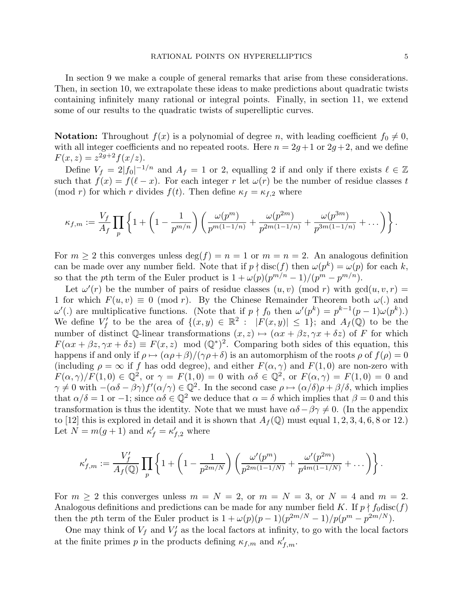In section 9 we make a couple of general remarks that arise from these considerations. Then, in section 10, we extrapolate these ideas to make predictions about quadratic twists containing infinitely many rational or integral points. Finally, in section 11, we extend some of our results to the quadratic twists of superelliptic curves.

**Notation:** Throughout  $f(x)$  is a polynomial of degree n, with leading coefficient  $f_0 \neq 0$ , with all integer coefficients and no repeated roots. Here  $n = 2g + 1$  or  $2g + 2$ , and we define  $F(x, z) = z^{2g+2} f(x/z).$ 

Define  $V_f = 2|f_0|^{-1/n}$  and  $A_f = 1$  or 2, equalling 2 if and only if there exists  $\ell \in \mathbb{Z}$ such that  $f(x) = f(\ell - x)$ . For each integer r let  $\omega(r)$  be the number of residue classes t (mod r) for which r divides  $f(t)$ . Then define  $\kappa_f = \kappa_{f,2}$  where

$$
\kappa_{f,m} := \frac{V_f}{A_f} \prod_p \left\{ 1 + \left( 1 - \frac{1}{p^{m/n}} \right) \left( \frac{\omega(p^m)}{p^{m(1-1/n)}} + \frac{\omega(p^{2m})}{p^{2m(1-1/n)}} + \frac{\omega(p^{3m})}{p^{3m(1-1/n)}} + \dots \right) \right\}.
$$

For  $m \geq 2$  this converges unless  $\deg(f) = n = 1$  or  $m = n = 2$ . An analogous definition can be made over any number field. Note that if  $p \nmid \text{disc}(f)$  then  $\omega(p^k) = \omega(p)$  for each k, so that the pth term of the Euler product is  $1 + \omega(p)(p^{m/n} - 1)/(p^m - p^{m/n})$ .

Let  $\omega'(r)$  be the number of pairs of residue classes  $(u, v)$  (mod r) with  $gcd(u, v, r) =$ 1 for which  $F(u, v) \equiv 0 \pmod{r}$ . By the Chinese Remainder Theorem both  $\omega(.)$  and  $ω'$ .) are multiplicative functions. (Note that if  $p \nmid f_0$  then  $ω'(p^k) = p^{k-1}(p-1)ω(p^k)$ .) We define  $V'_f$  to be the area of  $\{(x,y) \in \mathbb{R}^2 : |F(x,y)| \leq 1\}$ ; and  $A_f(\mathbb{Q})$  to be the number of distinct  $\mathbb{Q}$ -linear transformations  $(x, z) \mapsto (\alpha x + \beta z, \gamma x + \delta z)$  of F for which  $F(\alpha x + \beta z, \gamma x + \delta z) \equiv F(x, z) \mod (\mathbb{Q}^*)^2$ . Comparing both sides of this equation, this happens if and only if  $\rho \mapsto (\alpha \rho + \beta)/(\gamma \rho + \delta)$  is an automorphism of the roots  $\rho$  of  $f(\rho) = 0$ (including  $\rho = \infty$  if f has odd degree), and either  $F(\alpha, \gamma)$  and  $F(1, 0)$  are non-zero with  $F(\alpha, \gamma)/F(1,0) \in \mathbb{Q}^2$ , or  $\gamma = F(1,0) = 0$  with  $\alpha\delta \in \mathbb{Q}^2$ , or  $F(\alpha, \gamma) = F(1,0) = 0$  and  $\gamma \neq 0$  with  $-(\alpha \delta - \beta \gamma) f'(\alpha/\gamma) \in \mathbb{Q}^2$ . In the second case  $\rho \mapsto (\alpha/\delta) \rho + \beta/\delta$ , which implies that  $\alpha/\delta = 1$  or  $-1$ ; since  $\alpha\delta \in \mathbb{Q}^2$  we deduce that  $\alpha = \delta$  which implies that  $\beta = 0$  and this transformation is thus the identity. Note that we must have  $\alpha\delta-\beta\gamma\neq 0$ . (In the appendix to [12] this is explored in detail and it is shown that  $A_f(\mathbb{Q})$  must equal 1, 2, 3, 4, 6, 8 or 12.) Let  $N = m(g + 1)$  and  $\kappa'_{f} = \kappa'_{f,2}$  where

$$
\kappa'_{f,m} := \frac{V'_f}{A_f(\mathbb{Q})} \prod_p \left\{ 1 + \left( 1 - \frac{1}{p^{2m/N}} \right) \left( \frac{\omega'(p^m)}{p^{2m(1-1/N)}} + \frac{\omega'(p^{2m})}{p^{4m(1-1/N)}} + \dots \right) \right\}.
$$

For  $m \geq 2$  this converges unless  $m = N = 2$ , or  $m = N = 3$ , or  $N = 4$  and  $m = 2$ . Analogous definitions and predictions can be made for any number field K. If  $p \nmid f_0 \text{disc}(f)$ then the pth term of the Euler product is  $1 + \omega(p)(p-1)(p^{2m/N} - 1)/p(p^m - p^{2m/N})$ .

One may think of  $V_f$  and  $V'_f$  as the local factors at infinity, to go with the local factors at the finite primes p in the products defining  $\kappa_{f,m}$  and  $\kappa'_{f,m}$ .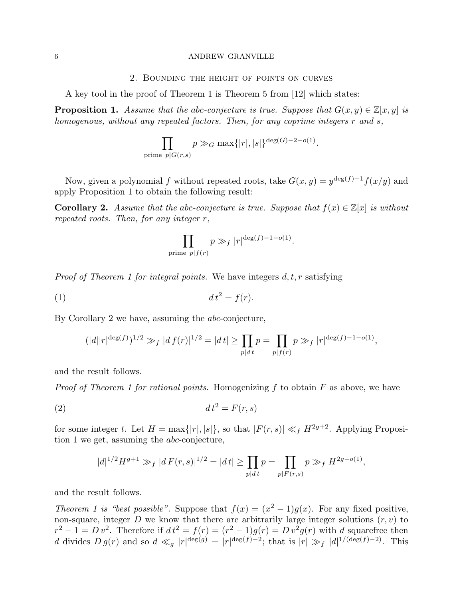#### 2. Bounding the height of points on curves

A key tool in the proof of Theorem 1 is Theorem 5 from [12] which states:

**Proposition 1.** Assume that the abc-conjecture is true. Suppose that  $G(x, y) \in \mathbb{Z}[x, y]$  is homogenous, without any repeated factors. Then, for any coprime integers r and s,

$$
\prod_{\text{prime }p|G(r,s)} p \gg_G \max\{|r|,|s|\}^{\deg(G)-2-o(1)}.
$$

Now, given a polynomial f without repeated roots, take  $G(x, y) = y^{\deg(f) + 1} f(x/y)$  and apply Proposition 1 to obtain the following result:

**Corollary 2.** Assume that the abc-conjecture is true. Suppose that  $f(x) \in \mathbb{Z}[x]$  is without repeated roots. Then, for any integer r,

$$
\prod_{\text{prime }p\mid f(r)} p \gg_f |r|^{\deg(f)-1-o(1)}.
$$

*Proof of Theorem 1 for integral points.* We have integers  $d, t, r$  satisfying

(1) d t<sup>2</sup> = f(r).

By Corollary 2 we have, assuming the abc-conjecture,

$$
(|d||r|^{\deg(f)})^{1/2} \gg_f |df(r)|^{1/2} = |dt| \ge \prod_{p|dt} p = \prod_{p|f(r)} p \gg_f |r|^{\deg(f)-1-o(1)},
$$

and the result follows.

*Proof of Theorem 1 for rational points.* Homogenizing f to obtain  $F$  as above, we have

$$
(2) \t\t dt2 = F(r, s)
$$

for some integer t. Let  $H = \max\{|r|, |s|\}$ , so that  $|F(r, s)| \ll_f H^{2g+2}$ . Applying Proposition 1 we get, assuming the abc-conjecture,

$$
|d|^{1/2}H^{g+1} \gg_f |d F(r,s)|^{1/2} = |dt| \ge \prod_{p|dt} p = \prod_{p|F(r,s)} p \gg_f H^{2g - o(1)},
$$

and the result follows.

Theorem 1 is "best possible". Suppose that  $f(x) = (x^2 - 1)g(x)$ . For any fixed positive, non-square, integer  $D$  we know that there are arbitrarily large integer solutions  $(r, v)$  to  $r^2 - 1 = D v^2$ . Therefore if  $dt^2 = f(r) = (r^2 - 1)g(r) = D v^2 g(r)$  with d squarefree then d divides  $D g(r)$  and so  $d \ll_g |r|^{\deg(g)} = |r|^{\deg(f)-2}$ ; that is  $|r| \gg_f |d|^{1/(\deg(f)-2)}$ . This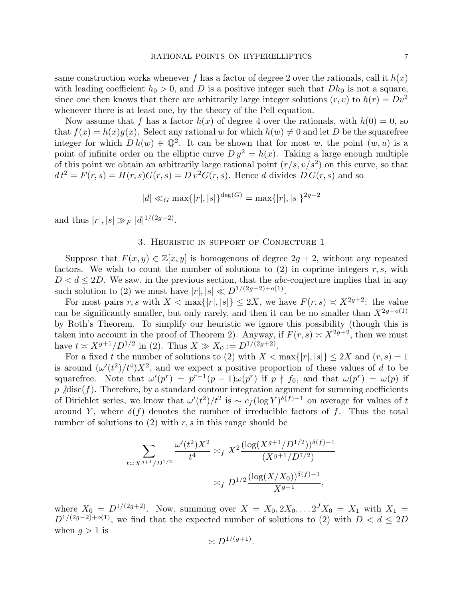same construction works whenever f has a factor of degree 2 over the rationals, call it  $h(x)$ with leading coefficient  $h_0 > 0$ , and D is a positive integer such that  $Dh_0$  is not a square, since one then knows that there are arbitrarily large integer solutions  $(r, v)$  to  $h(r) = Dv^2$ whenever there is at least one, by the theory of the Pell equation.

Now assume that f has a factor  $h(x)$  of degree 4 over the rationals, with  $h(0) = 0$ , so that  $f(x) = h(x)g(x)$ . Select any rational w for which  $h(w) \neq 0$  and let D be the squarefree integer for which  $Dh(w) \in \mathbb{Q}^2$ . It can be shown that for most w, the point  $(w, u)$  is a point of infinite order on the elliptic curve  $D y^2 = h(x)$ . Taking a large enough multiple of this point we obtain an arbitrarily large rational point  $(r/s, v/s^2)$  on this curve, so that  $dt^2 = F(r, s) = H(r, s)G(r, s) = D v^2 G(r, s)$ . Hence d divides  $D G(r, s)$  and so

$$
|d| \ll_G \max\{|r|, |s|\}^{\deg(G)} = \max\{|r|, |s|\}^{2g-2}
$$

and thus  $|r|, |s| \gg_F |d|^{1/(2g-2)}$ .

### 3. Heuristic in support of Conjecture 1

Suppose that  $F(x, y) \in \mathbb{Z}[x, y]$  is homogenous of degree  $2g + 2$ , without any repeated factors. We wish to count the number of solutions to  $(2)$  in coprime integers r, s, with  $D < d \leq 2D$ . We saw, in the previous section, that the *abc*-conjecture implies that in any such solution to (2) we must have  $|r|, |s| \ll D^{1/(2g-2)+o(1)}$ .

For most pairs r, s with  $X < \max\{|r|, |s|\} \le 2X$ , we have  $F(r, s) \approx X^{2g+2}$ : the value can be significantly smaller, but only rarely, and then it can be no smaller than  $X^{2g-o(1)}$ by Roth's Theorem. To simplify our heuristic we ignore this possibility (though this is taken into account in the proof of Theorem 2). Anyway, if  $F(r, s) \approx X^{2g+2}$ , then we must have  $t \approx X^{g+1}/D^{1/2}$  in (2). Thus  $X \gg X_0 := D^{1/(2g+2)}$ .

For a fixed t the number of solutions to (2) with  $X < \max\{|r|, |s|\} \leq 2X$  and  $(r, s) = 1$ is around  $(\omega'(t^2)/t^4)X^2$ , and we expect a positive proportion of these values of d to be squarefree. Note that  $\omega'(p^r) = p^{r-1}(p-1)\omega(p^r)$  if  $p \nmid f_0$ , and that  $\omega(p^r) = \omega(p)$  if p  $\beta$  disc(f). Therefore, by a standard contour integration argument for summing coefficients of Dirichlet series, we know that  $\omega'(t^2)/t^2$  is  $\sim c_f(\log Y)^{\delta(f)-1}$  on average for values of t around Y, where  $\delta(f)$  denotes the number of irreducible factors of f. Thus the total number of solutions to  $(2)$  with r, s in this range should be

$$
\sum_{t \asymp X^{g+1}/D^{1/2}} \frac{\omega'(t^2)X^2}{t^4} \asymp_f X^2 \frac{(\log(X^{g+1}/D^{1/2}))^{\delta(f)-1}}{(X^{g+1}/D^{1/2})}
$$

$$
\asymp_f D^{1/2} \frac{(\log(X/X_0))^{\delta(f)-1}}{X^{g-1}},
$$

where  $X_0 = D^{1/(2g+2)}$ . Now, summing over  $X = X_0, 2X_0, ... 2^J X_0 = X_1$  with  $X_1 =$  $D^{1/(2g-2)+o(1)}$ , we find that the expected number of solutions to (2) with  $D < d \leq 2D$ when  $q > 1$  is

$$
\asymp D^{1/(g+1)}.
$$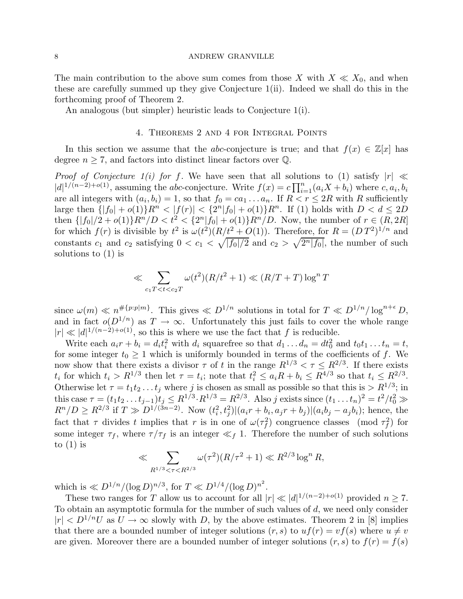The main contribution to the above sum comes from those X with  $X \ll X_0$ , and when these are carefully summed up they give Conjecture 1(ii). Indeed we shall do this in the forthcoming proof of Theorem 2.

An analogous (but simpler) heuristic leads to Conjecture 1(i).

# 4. Theorems 2 and 4 for Integral Points

In this section we assume that the abc-conjecture is true; and that  $f(x) \in \mathbb{Z}[x]$  has degree  $n \geq 7$ , and factors into distinct linear factors over  $\mathbb{Q}$ .

*Proof of Conjecture 1(i) for f.* We have seen that all solutions to (1) satisfy  $|r| \ll$  $|d|^{1/(n-2)+o(1)}$ , assuming the abc-conjecture. Write  $f(x) = c \prod_{i=1}^{n} (a_i X + b_i)$  where  $c, a_i, b_i$ are all integers with  $(a_i, b_i) = 1$ , so that  $f_0 = ca_1 \ldots a_n$ . If  $R < r \leq 2R$  with R sufficiently large then  $\{|f_0| + o(1)\}R^n < |f(r)| < \{2^n|f_0| + o(1)\}R^n$ . If (1) holds with  $D < d \le 2D$ then  $\{|f_0|/2 + o(1)\}R^n/D < t^2 < \{2^n|f_0| + o(1)\}R^n/D$ . Now, the number of  $r \in (R, 2R]$ for which  $f(r)$  is divisible by  $t^2$  is  $\omega(t^2)(R/t^2+O(1))$ . Therefore, for  $R=(DT^2)^{1/n}$  and constants  $c_1$  and  $c_2$  satisfying  $0 < c_1 < \sqrt{|f_0|/2}$  and  $c_2 > \sqrt{2^n |f_0|}$ , the number of such solutions to (1) is

$$
\ll \sum_{c_1T < t < c_2T} \omega(t^2)(R/t^2 + 1) \ll (R/T + T)\log^n T
$$

since  $\omega(m) \ll n^{\#\{p:p|m\}}$ . This gives  $\ll D^{1/n}$  solutions in total for  $T \ll D^{1/n}/\log^{n+\epsilon} D$ , and in fact  $o(D^{1/n})$  as  $T \to \infty$ . Unfortunately this just fails to cover the whole range  $|r| \ll |d|^{1/(n-2)+o(1)}$ , so this is where we use the fact that f is reducible.

Write each  $a_i r + b_i = d_i t_i^2$  with  $d_i$  squarefree so that  $d_1 \dots d_n = dt_0^2$  and  $t_0 t_1 \dots t_n = t$ , for some integer  $t_0 \geq 1$  which is uniformly bounded in terms of the coefficients of f. We now show that there exists a divisor  $\tau$  of t in the range  $R^{1/3} < \tau \leq R^{2/3}$ . If there exists  $t_i$  for which  $t_i > R^{1/3}$  then let  $\tau = t_i$ ; note that  $t_i^2 \leq a_i R + b_i \leq R^{4/3}$  so that  $t_i \leq R^{2/3}$ . Otherwise let  $\tau = t_1 t_2 \dots t_j$  where j is chosen as small as possible so that this is  $> R^{1/3}$ ; in this case  $\tau = (t_1 t_2 \dots t_{j-1}) t_j \leq R^{1/3} \cdot R^{1/3} = R^{2/3}$ . Also j exists since  $(t_1 \dots t_n)^2 = t^2/t_0^2 \gg$  $R^{n}/D \geq R^{2/3}$  if  $T \gg D^{1/(3n-2)}$ . Now  $(t_i^2, t_j^2)|(a_i r + b_i, a_j r + b_j)|(a_i b_j - a_j b_i)$ ; hence, the fact that  $\tau$  divides t implies that r is in one of  $\omega(\tau_f^2)$  congruence classes (mod  $\tau_f^2$ ) for some integer  $\tau_f$ , where  $\tau/\tau_f$  is an integer  $\ll_f 1$ . Therefore the number of such solutions to  $(1)$  is

$$
\ll \sum_{R^{1/3} < \tau < R^{2/3}} \omega(\tau^2)(R/\tau^2 + 1) \ll R^{2/3} \log^n R,
$$

which is  $\ll D^{1/n} / (\log D)^{n/3}$ , for  $T \ll D^{1/4} / (\log D)^{n^2}$ .

These two ranges for T allow us to account for all  $|r| \ll |d|^{1/(n-2)+o(1)}$  provided  $n \geq 7$ . To obtain an asymptotic formula for the number of such values of  $d$ , we need only consider  $|r| < D^{1/n}U$  as  $U \to \infty$  slowly with D, by the above estimates. Theorem 2 in [8] implies that there are a bounded number of integer solutions  $(r, s)$  to  $uf(r) = vf(s)$  where  $u \neq v$ are given. Moreover there are a bounded number of integer solutions  $(r, s)$  to  $f(r) = f(s)$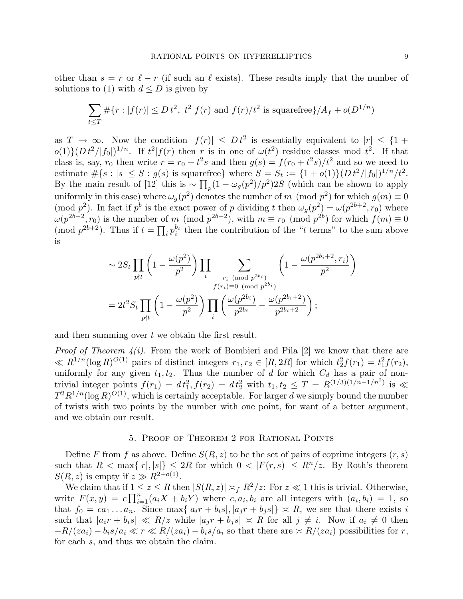other than  $s = r$  or  $\ell - r$  (if such an  $\ell$  exists). These results imply that the number of solutions to (1) with  $d \leq D$  is given by

$$
\sum_{t \le T} \# \{ r : |f(r)| \le D t^2, \ t^2 | f(r) \text{ and } f(r) / t^2 \text{ is squarefree} \} / A_f + o(D^{1/n})
$$

as  $T \to \infty$ . Now the condition  $|f(r)| \le D t^2$  is essentially equivalent to  $|r| \le \{1 +$  $o(1)\left(Dt^2/|f_0|^{1/n}$ . If  $t^2|f(r)$  then r is in one of  $\omega(t^2)$  residue classes mod  $t^2$ . If that class is, say,  $r_0$  then write  $r = r_0 + t^2 s$  and then  $g(s) = f(r_0 + t^2 s)/t^2$  and so we need to estimate  $\#\{s : |s| \leq S : g(s) \text{ is squarefree}\}\$  where  $S = S_t := \{1 + o(1)\}(Dt^2/|f_0|)^{1/n}/t^2$ . By the main result of [12] this is ~  $\prod_p(1-\omega_g(p^2)/p^2)2S$  (which can be shown to apply uniformly in this case) where  $\omega_g(p^2)$  denotes the number of m (mod  $p^2$ ) for which  $g(m) \equiv 0$ (mod  $p^2$ ). In fact if  $p^b$  is the exact power of p dividing t then  $\omega_g(p^2) = \omega(p^{2b+2}, r_0)$  where  $\omega(p^{2b+2}, r_0)$  is the number of m (mod  $p^{2b+2}$ ), with  $m \equiv r_0 \pmod{p^{2b}}$  for which  $f(m) \equiv 0$ (mod  $p^{2b+2}$ ). Thus if  $t = \prod_i p_i^{b_i}$  $\frac{b_i}{i}$  then the contribution of the "t terms" to the sum above is

$$
\sim 2S_t \prod_{p \nmid t} \left( 1 - \frac{\omega(p^2)}{p^2} \right) \prod_i \sum_{\substack{r_i \pmod{p^{2b_i}}} {f(r_i) \equiv 0 \pmod{p^{2b_i}}}} \left( 1 - \frac{\omega(p^{2b_i + 2}, r_i)}{p^2} \right)
$$

$$
= 2t^2 S_t \prod_{p \nmid t} \left( 1 - \frac{\omega(p^2)}{p^2} \right) \prod_i \left( \frac{\omega(p^{2b_i})}{p^{2b_i}} - \frac{\omega(p^{2b_i + 2})}{p^{2b_i + 2}} \right);
$$

and then summing over t we obtain the first result.

*Proof of Theorem 4(i)*. From the work of Bombieri and Pila [2] we know that there are  $\ll R^{1/n}(\log R)^{O(1)}$  pairs of distinct integers  $r_1, r_2 \in [R, 2R]$  for which  $t_2^2 f(r_1) = t_1^2 f(r_2)$ , uniformly for any given  $t_1, t_2$ . Thus the number of d for which  $C_d$  has a pair of nontrivial integer points  $f(r_1) = dt_1^2$ ,  $f(r_2) = dt_2^2$  with  $t_1, t_2 \leq T = R^{(1/3)(1/n-1/n^2)}$  is  $\ll$  $T^2R^{1/n}(\log R)^{O(1)}$ , which is certainly acceptable. For larger d we simply bound the number of twists with two points by the number with one point, for want of a better argument, and we obtain our result.

## 5. Proof of Theorem 2 for Rational Points

Define F from f as above. Define  $S(R, z)$  to be the set of pairs of coprime integers  $(r, s)$ such that  $R < \max\{|r|, |s|\} \leq 2R$  for which  $0 < |F(r, s)| \leq R^n/z$ . By Roth's theorem  $S(R, z)$  is empty if  $z \gg R^{2+o(1)}$ .

We claim that if  $1 \le z \le R$  then  $|S(R, z)| \asymp_f R^2/z$ : For  $z \ll 1$  this is trivial. Otherwise, write  $F(x,y) = c \prod_{i=1}^{n} (a_i X + b_i Y)$  where  $c, a_i, b_i$  are all integers with  $(a_i, b_i) = 1$ , so that  $f_0 = ca_1 \dots a_n$ . Since  $\max\{|a_i r + b_i s|, |a_i r + b_j s|\} \approx R$ , we see that there exists i such that  $|a_i r + b_i s| \ll R/z$  while  $|a_i r + b_i s| \approx R$  for all  $j \neq i$ . Now if  $a_i \neq 0$  then  $-R/(za_i) - b_i s/a_i \ll r \ll R/(za_i) - b_i s/a_i$  so that there are  $\asymp R/(za_i)$  possibilities for r, for each s, and thus we obtain the claim.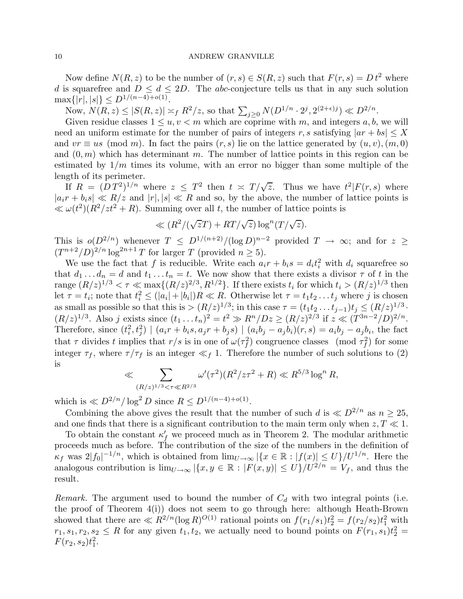Now define  $N(R, z)$  to be the number of  $(r, s) \in S(R, z)$  such that  $F(r, s) = D t^2$  where d is squarefree and  $D \leq d \leq 2D$ . The abc-conjecture tells us that in any such solution  $\max\{|r|,|s|\} \leq D^{1/(n-4)+o(1)}.$ 

Now,  $N(R, z) \le |S(R, z)| \asymp_f R^2/z$ , so that  $\sum_{j \ge 0} N(D^{1/n} \cdot 2^j, 2^{(2+\epsilon)j}) \ll D^{2/n}$ .

Given residue classes  $1 \le u, v < m$  which are coprime with m, and integers a, b, we will need an uniform estimate for the number of pairs of integers r, s satisfying  $|ar + bs| \leq X$ and  $vr \equiv us \pmod{m}$ . In fact the pairs  $(r, s)$  lie on the lattice generated by  $(u, v), (m, 0)$ and  $(0, m)$  which has determinant m. The number of lattice points in this region can be estimated by  $1/m$  times its volume, with an error no bigger than some multiple of the length of its perimeter.

If  $R = (DT^2)^{1/n}$  where  $z \leq T^2$  then  $t \approx T/\sqrt{z}$ . Thus we have  $t^2|F(r,s)$  where  $|a_i r + b_i s| \ll R/z$  and  $|r|, |s| \ll R$  and so, by the above, the number of lattice points is  $\ll \omega(t^2)(R^2/zt^2 + R)$ . Summing over all t, the number of lattice points is

$$
\ll (R^2/(\sqrt{z}T) + RT/\sqrt{z}) \log^n(T/\sqrt{z}).
$$

This is  $o(D^{2/n})$  whenever  $T \leq D^{1/(n+2)} / (\log D)^{n-2}$  provided  $T \to \infty$ ; and for  $z \geq$  $(T^{n+2}/D)^{2/n} \log^{2n+1} T$  for larger T (provided  $n \geq 5$ ).

We use the fact that f is reducible. Write each  $a_i r + b_i s = d_i t_i^2$  with  $d_i$  squarefree so that  $d_1 \ldots d_n = d$  and  $t_1 \ldots t_n = t$ . We now show that there exists a divisor  $\tau$  of t in the range  $(R/z)^{1/3} < \tau \ll \max\{(R/z)^{2/3}, R^{1/2}\}\$ . If there exists  $t_i$  for which  $t_i > (R/z)^{1/3}$  then let  $\tau = t_i$ ; note that  $t_i^2 \leq (|a_i| + |b_i|)R \ll R$ . Otherwise let  $\tau = t_1 t_2 \dots t_j$  where j is chosen as small as possible so that this is  $>(R/z)^{1/3}$ ; in this case  $\tau = (t_1 t_2 \dots t_{j-1}) t_j \leq (R/z)^{1/3}$ .  $(R/z)^{1/3}$ . Also j exists since  $(t_1 \dots t_n)^2 = t^2 \gg R^n / Dz \ge (R/z)^{2/3}$  if  $z \ll (T^{3n-2}/D)^{2/n}$ . Therefore, since  $(t_i^2, t_j^2) \mid (a_i r + b_i s, a_j r + b_j s) \mid (a_i b_j - a_j b_i)(r, s) = a_i b_j - a_j b_i$ , the fact that  $\tau$  divides t implies that  $r/s$  is in one of  $\omega(\tau_f^2)$  congruence classes (mod  $\tau_f^2$ ) for some integer  $\tau_f$ , where  $\tau/\tau_f$  is an integer  $\ll_f 1$ . Therefore the number of such solutions to (2) is

$$
\ll \sum_{(R/z)^{1/3} < \tau \ll R^{2/3}} \omega'(\tau^2)(R^2/z\tau^2 + R) \ll R^{5/3} \log^n R,
$$

which is  $\ll D^{2/n}/\log^2 D$  since  $R \le D^{1/(n-4)+o(1)}$ .

Combining the above gives the result that the number of such d is  $\ll D^{2/n}$  as  $n > 25$ , and one finds that there is a significant contribution to the main term only when  $z, T \ll 1$ .

To obtain the constant  $\kappa'_{f}$  we proceed much as in Theorem 2. The modular arithmetic proceeds much as before. The contribution of the size of the numbers in the definition of  $\kappa_f$  was  $2|f_0|^{-1/n}$ , which is obtained from  $\lim_{U\to\infty} |\{x \in \mathbb{R} : |f(x)| \leq U\}/U^{1/n}$ . Here the analogous contribution is  $\lim_{U\to\infty} |\{x,y\in\mathbb{R} : |F(x,y)| \leq U\}/U^{2/n} = V_f$ , and thus the result.

Remark. The argument used to bound the number of  $C_d$  with two integral points (i.e. the proof of Theorem 4(i)) does not seem to go through here: although Heath-Brown showed that there are  $\ll R^{2/n} (\log R)^{O(1)}$  rational points on  $f(r_1/s_1)t_2^2 = f(r_2/s_2)t_1^2$  with  $r_1, s_1, r_2, s_2 \leq R$  for any given  $t_1, t_2$ , we actually need to bound points on  $F(r_1, s_1)t_2^2 =$  $F(r_2, s_2)t_1^2$ .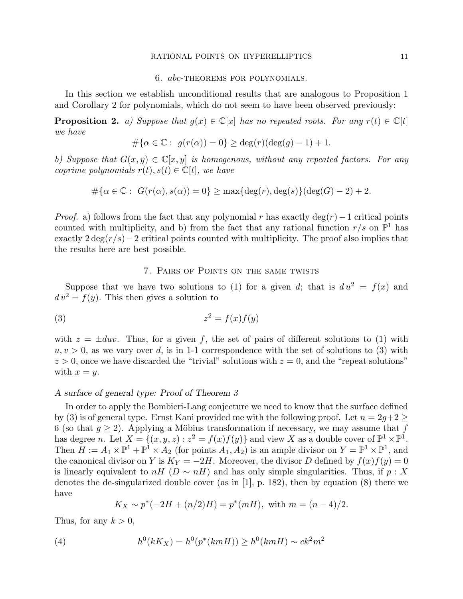#### RATIONAL POINTS ON HYPERELLIPTICS 11

#### 6. abc-theorems for polynomials.

In this section we establish unconditional results that are analogous to Proposition 1 and Corollary 2 for polynomials, which do not seem to have been observed previously:

**Proposition 2.** a) Suppose that  $g(x) \in \mathbb{C}[x]$  has no repeated roots. For any  $r(t) \in \mathbb{C}[t]$ we have

$$
#\{\alpha \in \mathbb{C}: g(r(\alpha)) = 0\} \geq \deg(r)(\deg(g) - 1) + 1.
$$

b) Suppose that  $G(x, y) \in \mathbb{C}[x, y]$  is homogenous, without any repeated factors. For any coprime polynomials  $r(t), s(t) \in \mathbb{C}[t]$ , we have

$$
\#\{\alpha \in \mathbb{C}: G(r(\alpha), s(\alpha)) = 0\} \ge \max\{\deg(r), \deg(s)\}(\deg(G) - 2) + 2.
$$

*Proof.* a) follows from the fact that any polynomial r has exactly deg(r) – 1 critical points counted with multiplicity, and b) from the fact that any rational function  $r/s$  on  $\mathbb{P}^1$  has exactly  $2 \deg(r/s)-2$  critical points counted with multiplicity. The proof also implies that the results here are best possible.

# 7. Pairs of Points on the same twists

Suppose that we have two solutions to (1) for a given d; that is  $du^2 = f(x)$  and  $d v<sup>2</sup> = f(y)$ . This then gives a solution to

$$
(3) \t\t\t z^2 = f(x)f(y)
$$

with  $z = \pm duv$ . Thus, for a given f, the set of pairs of different solutions to (1) with  $u, v > 0$ , as we vary over d, is in 1-1 correspondence with the set of solutions to (3) with  $z > 0$ , once we have discarded the "trivial" solutions with  $z = 0$ , and the "repeat solutions" with  $x = y$ .

# A surface of general type: Proof of Theorem 3

In order to apply the Bombieri-Lang conjecture we need to know that the surface defined by (3) is of general type. Ernst Kani provided me with the following proof. Let  $n = 2g+2 \geq$ 6 (so that  $g \ge 2$ ). Applying a Möbius transformation if necessary, we may assume that f has degree *n*. Let  $X = \{(x, y, z) : z^2 = f(x)f(y)\}$  and view X as a double cover of  $\mathbb{P}^1 \times \mathbb{P}^1$ . Then  $H := A_1 \times \mathbb{P}^1 + \mathbb{P}^1 \times A_2$  (for points  $A_1, A_2$ ) is an ample divisor on  $Y = \mathbb{P}^1 \times \mathbb{P}^1$ , and the canonical divisor on Y is  $K_Y = -2H$ . Moreover, the divisor D defined by  $f(x)f(y) = 0$ is linearly equivalent to  $nH (D \sim nH)$  and has only simple singularities. Thus, if  $p : X$ denotes the de-singularized double cover (as in [1], p. 182), then by equation (8) there we have

$$
K_X \sim p^*(-2H + (n/2)H) = p^*(mH)
$$
, with  $m = (n-4)/2$ .

Thus, for any  $k > 0$ ,

(4) 
$$
h^{0}(kK_{X}) = h^{0}(p^{*}(kmH)) \geq h^{0}(kmH) \sim ck^{2}m^{2}
$$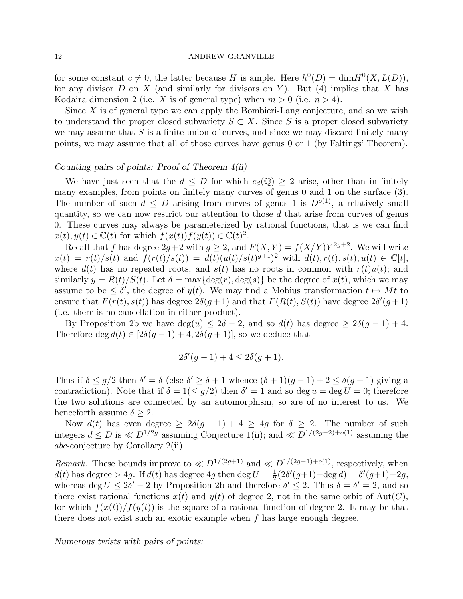for some constant  $c \neq 0$ , the latter because H is ample. Here  $h^0(D) = \dim H^0(X, L(D))$ , for any divisor  $D$  on  $X$  (and similarly for divisors on Y). But (4) implies that  $X$  has Kodaira dimension 2 (i.e. X is of general type) when  $m > 0$  (i.e.  $n > 4$ ).

Since  $X$  is of general type we can apply the Bombieri-Lang conjecture, and so we wish to understand the proper closed subvariety  $S \subset X$ . Since S is a proper closed subvariety we may assume that  $S$  is a finite union of curves, and since we may discard finitely many points, we may assume that all of those curves have genus 0 or 1 (by Faltings' Theorem).

# Counting pairs of points: Proof of Theorem 4(ii)

We have just seen that the  $d \leq D$  for which  $c_d(\mathbb{Q}) \geq 2$  arise, other than in finitely many examples, from points on finitely many curves of genus 0 and 1 on the surface  $(3)$ . The number of such  $d \leq D$  arising from curves of genus 1 is  $D^{o(1)}$ , a relatively small quantity, so we can now restrict our attention to those d that arise from curves of genus 0. These curves may always be parameterized by rational functions, that is we can find  $x(t), y(t) \in \mathbb{C}(t)$  for which  $f(x(t))f(y(t)) \in \mathbb{C}(t)^2$ .

Recall that f has degree  $2g+2$  with  $g \geq 2$ , and  $F(X, Y) = f(X/Y)Y^{2g+2}$ . We will write  $x(t) = r(t)/s(t)$  and  $f(r(t)/s(t)) = d(t)(u(t)/s(t)^{g+1})^2$  with  $d(t), r(t), s(t), u(t) \in \mathbb{C}[t]$ , where  $d(t)$  has no repeated roots, and  $s(t)$  has no roots in common with  $r(t)u(t)$ ; and similarly  $y = R(t)/S(t)$ . Let  $\delta = \max\{\deg(r), \deg(s)\}\$ be the degree of  $x(t)$ , which we may assume to be  $\leq \delta'$ , the degree of  $y(t)$ . We may find a Mobius transformation  $t \mapsto Mt$  to ensure that  $F(r(t), s(t))$  has degree  $2\delta(g+1)$  and that  $F(R(t), S(t))$  have degree  $2\delta'(g+1)$ (i.e. there is no cancellation in either product).

By Proposition 2b we have deg(u)  $\leq 2\delta - 2$ , and so  $d(t)$  has degree  $\geq 2\delta(g-1) + 4$ . Therefore deg  $d(t) \in [2\delta(g-1)+4, 2\delta(g+1)]$ , so we deduce that

$$
2\delta'(g-1) + 4 \le 2\delta(g+1).
$$

Thus if  $\delta \leq g/2$  then  $\delta' = \delta$  (else  $\delta' \geq \delta + 1$  whence  $(\delta + 1)(g - 1) + 2 \leq \delta(g + 1)$  giving a contradiction). Note that if  $\delta = 1 \le g/2$  then  $\delta' = 1$  and so deg  $u = \deg U = 0$ ; therefore the two solutions are connected by an automorphism, so are of no interest to us. We henceforth assume  $\delta \geq 2$ .

Now  $d(t)$  has even degree  $\geq 2\delta(g-1)+4 \geq 4g$  for  $\delta \geq 2$ . The number of such integers  $d \le D$  is ≪  $D^{1/2g}$  assuming Conjecture 1(ii); and ≪  $D^{1/(2g-2)+o(1)}$  assuming the abc-conjecture by Corollary 2(ii).

Remark. These bounds improve to  $\ll D^{1/(2g+1)}$  and  $\ll D^{1/(2g-1)+o(1)}$ , respectively, when  $d(t)$  has degree  $> 4g$ . If  $d(t)$  has degree  $4g$  then deg  $U = \frac{1}{2}$  $\frac{1}{2}(2\delta'(g+1)-\deg d)=\delta'(g+1)-2g,$ whereas deg  $U \le 2\delta' - 2$  by Proposition 2b and therefore  $\delta' \le 2$ . Thus  $\delta = \delta' = 2$ , and so there exist rational functions  $x(t)$  and  $y(t)$  of degree 2, not in the same orbit of Aut(C), for which  $f(x(t))/f(y(t))$  is the square of a rational function of degree 2. It may be that there does not exist such an exotic example when f has large enough degree.

Numerous twists with pairs of points: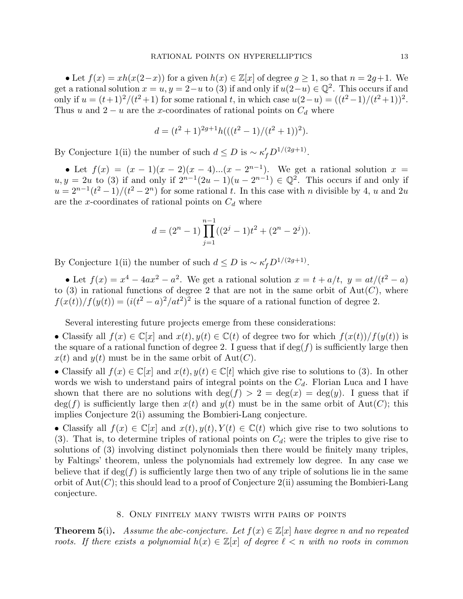• Let  $f(x) = xh(x(2-x))$  for a given  $h(x) \in \mathbb{Z}[x]$  of degree  $g \ge 1$ , so that  $n = 2g+1$ . We get a rational solution  $x = u, y = 2-u$  to (3) if and only if  $u(2-u) \in \mathbb{Q}^2$ . This occurs if and only if  $u = (t+1)^2/(t^2+1)$  for some rational t, in which case  $u(2-u) = ((t^2-1)/(t^2+1))^2$ . Thus u and  $2 - u$  are the x-coordinates of rational points on  $C_d$  where

$$
d = (t2 + 1)2g+1h(((t2 – 1)/(t2 + 1))2).
$$

By Conjecture 1(ii) the number of such  $d \le D$  is ~  $\kappa'_{f} D^{1/(2g+1)}$ .

• Let  $f(x) = (x - 1)(x - 2)(x - 4)...(x - 2^{n-1})$ . We get a rational solution  $x =$  $u, y = 2u$  to (3) if and only if  $2^{n-1}(2u-1)(u-2^{n-1}) \in \mathbb{Q}^2$ . This occurs if and only if  $u = 2^{n-1}(t^2-1)/(t^2-2^n)$  for some rational t. In this case with n divisible by 4, u and 2u are the x-coordinates of rational points on  $C_d$  where

$$
d = (2^{n} - 1) \prod_{j=1}^{n-1} ((2^{j} - 1)t^{2} + (2^{n} - 2^{j})).
$$

By Conjecture 1(ii) the number of such  $d \le D$  is ~  $\kappa'_{f} D^{1/(2g+1)}$ .

• Let  $f(x) = x^4 - 4ax^2 - a^2$ . We get a rational solution  $x = t + a/t$ ,  $y = at/(t^2 - a)$ to (3) in rational functions of degree 2 that are not in the same orbit of  $Aut(C)$ , where  $f(x(t))/f(y(t)) = (i(t^2 - a)^2/at^2)^2$  is the square of a rational function of degree 2.

Several interesting future projects emerge from these considerations:

• Classify all  $f(x) \in \mathbb{C}[x]$  and  $x(t), y(t) \in \mathbb{C}(t)$  of degree two for which  $f(x(t))/f(y(t))$  is the square of a rational function of degree 2. I guess that if  $\deg(f)$  is sufficiently large then  $x(t)$  and  $y(t)$  must be in the same orbit of Aut(C).

• Classify all  $f(x) \in \mathbb{C}[x]$  and  $x(t), y(t) \in \mathbb{C}[t]$  which give rise to solutions to (3). In other words we wish to understand pairs of integral points on the  $C_d$ . Florian Luca and I have shown that there are no solutions with  $\deg(f) > 2 = \deg(x) = \deg(y)$ . I guess that if  $deg(f)$  is sufficiently large then  $x(t)$  and  $y(t)$  must be in the same orbit of Aut(C); this implies Conjecture 2(i) assuming the Bombieri-Lang conjecture.

• Classify all  $f(x) \in \mathbb{C}[x]$  and  $x(t), y(t), Y(t) \in \mathbb{C}(t)$  which give rise to two solutions to (3). That is, to determine triples of rational points on  $C_d$ ; were the triples to give rise to solutions of (3) involving distinct polynomials then there would be finitely many triples, by Faltings' theorem, unless the polynomials had extremely low degree. In any case we believe that if  $\deg(f)$  is sufficiently large then two of any triple of solutions lie in the same orbit of  $Aut(C)$ ; this should lead to a proof of Conjecture  $2(i)$  assuming the Bombieri-Lang conjecture.

## 8. Only finitely many twists with pairs of points

**Theorem 5(i).** Assume the abc-conjecture. Let  $f(x) \in \mathbb{Z}[x]$  have degree n and no repeated roots. If there exists a polynomial  $h(x) \in \mathbb{Z}[x]$  of degree  $\ell < n$  with no roots in common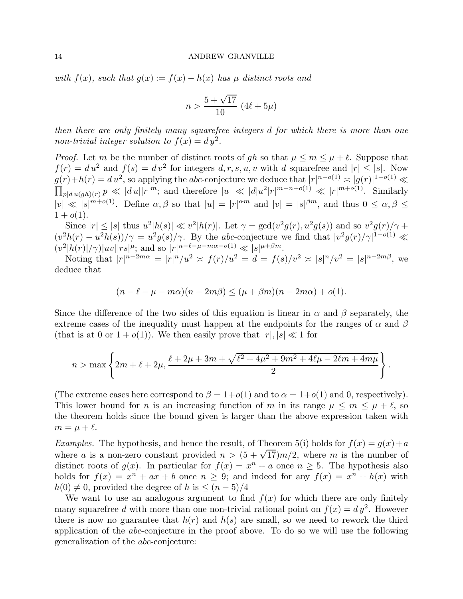with  $f(x)$ , such that  $g(x) := f(x) - h(x)$  has  $\mu$  distinct roots and

$$
n > \frac{5 + \sqrt{17}}{10} \, (4\ell + 5\mu)
$$

then there are only finitely many squarefree integers d for which there is more than one non-trivial integer solution to  $f(x) = dy^2$ .

*Proof.* Let m be the number of distinct roots of gh so that  $\mu \leq m \leq \mu + \ell$ . Suppose that  $f(r) = du^2$  and  $f(s) = dv^2$  for integers  $d, r, s, u, v$  with d squarefree and  $|r| \leq |s|$ . Now  $g(r)+h(r) = du^2$ , so applying the abc-conjecture we deduce that  $|r|^{n-o(1)} \approx |g(r)|$  $\prod$  $\frac{1-o(1)}{\ll}$  $p|du(gh)(r) P \ll |du||r|^m$ ; and therefore  $|u| \ll |d|u^2|r|^{m-n+o(1)} \ll |r|^{m+o(1)}$ . Similarly  $|v| \ll |s|^{m+o(1)}$ . Define  $\alpha, \beta$  so that  $|u| = |r|^{\alpha m}$  and  $|v| = |s|^{\beta m}$ , and thus  $0 \leq \alpha, \beta \leq \alpha$  $1 + o(1)$ .

Since  $|r| \le |s|$  thus  $u^2|h(s)| \ll v^2|h(r)|$ . Let  $\gamma = \gcd(v^2g(r), u^2g(s))$  and so  $v^2g(r)/\gamma$  +  $(v^2h(r) - u^2h(s))/\gamma = u^2g(s)/\gamma$ . By the abc-conjecture we find that  $|v^2g(r)/\gamma|^{1-o(1)} \ll$  $(v^2|h(r)|/\gamma)|uv||rs|^{\mu}$ ; and so  $|r|^{n-\ell-\mu-m\alpha-o(1)} \ll |s|^{\mu+\beta m}$ .

Noting that  $|r|^{n-2m\alpha} = |r|^n/u^2 \asymp f(r)/u^2 = d = f(s)/v^2 \asymp |s|^n/v^2 = |s|^{n-2m\beta}$ , we deduce that

$$
(n - \ell - \mu - m\alpha)(n - 2m\beta) \le (\mu + \beta m)(n - 2m\alpha) + o(1).
$$

Since the difference of the two sides of this equation is linear in  $\alpha$  and  $\beta$  separately, the extreme cases of the inequality must happen at the endpoints for the ranges of  $\alpha$  and  $\beta$ (that is at 0 or  $1 + o(1)$ ). We then easily prove that  $|r|, |s| \ll 1$  for

$$
n > \max \left\{ 2m + \ell + 2\mu, \frac{\ell + 2\mu + 3m + \sqrt{\ell^2 + 4\mu^2 + 9m^2 + 4\ell\mu - 2\ell m + 4m\mu}}{2} \right\}
$$

.

(The extreme cases here correspond to  $\beta = 1+o(1)$  and to  $\alpha = 1+o(1)$  and 0, respectively). This lower bound for n is an increasing function of m in its range  $\mu \leq m \leq \mu + \ell$ , so the theorem holds since the bound given is larger than the above expression taken with  $m = \mu + \ell$ .

Examples. The hypothesis, and hence the result, of Theorem 5(i) holds for  $f(x) = g(x) + a$ where a is a non-zero constant provided  $n > (5 + \sqrt{17})m/2$ , where m is the number of distinct roots of  $g(x)$ . In particular for  $f(x) = x^n + a$  once  $n \ge 5$ . The hypothesis also holds for  $f(x) = x^n + ax + b$  once  $n \ge 9$ ; and indeed for any  $f(x) = x^n + h(x)$  with  $h(0) \neq 0$ , provided the degree of h is  $\leq (n-5)/4$ 

We want to use an analogous argument to find  $f(x)$  for which there are only finitely many squarefree d with more than one non-trivial rational point on  $f(x) = dy^2$ . However there is now no guarantee that  $h(r)$  and  $h(s)$  are small, so we need to rework the third application of the abc-conjecture in the proof above. To do so we will use the following generalization of the abc-conjecture: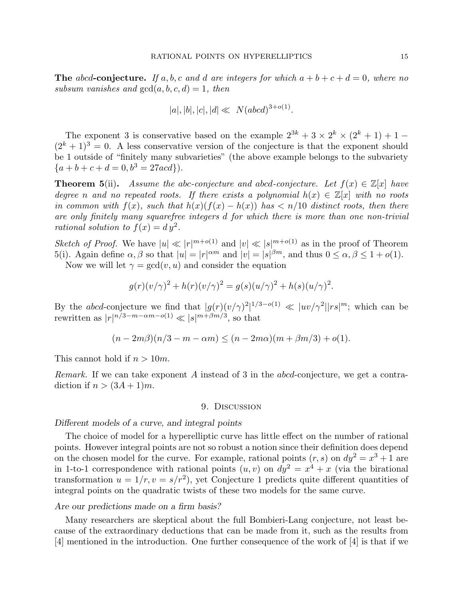**The** abcd-conjecture. If a, b, c and d are integers for which  $a + b + c + d = 0$ , where no subsum vanishes and  $gcd(a, b, c, d) = 1$ , then

$$
|a|, |b|, |c|, |d| \ll N(abcd)^{3+o(1)}.
$$

The exponent 3 is conservative based on the example  $2^{3k} + 3 \times 2^k \times (2^k + 1) + 1 (2<sup>k</sup> + 1)<sup>3</sup> = 0$ . A less conservative version of the conjecture is that the exponent should be 1 outside of "finitely many subvarieties" (the above example belongs to the subvariety  ${a + b + c + d = 0, b^3 = 27acd}.$ 

**Theorem 5(ii).** Assume the abc-conjecture and abcd-conjecture. Let  $f(x) \in \mathbb{Z}[x]$  have degree n and no repeated roots. If there exists a polynomial  $h(x) \in \mathbb{Z}[x]$  with no roots in common with  $f(x)$ , such that  $h(x)(f(x) - h(x))$  has  $\lt n/10$  distinct roots, then there are only finitely many squarefree integers d for which there is more than one non-trivial rational solution to  $f(x) = dy^2$ .

Sketch of Proof. We have  $|u| \ll |r|^{m+o(1)}$  and  $|v| \ll |s|^{m+o(1)}$  as in the proof of Theorem 5(i). Again define  $\alpha, \beta$  so that  $|u| = |r|^{\alpha m}$  and  $|v| = |s|^{\beta m}$ , and thus  $0 \le \alpha, \beta \le 1 + o(1)$ .

Now we will let  $\gamma = \gcd(v, u)$  and consider the equation

$$
g(r)(v/\gamma)^{2} + h(r)(v/\gamma)^{2} = g(s)(u/\gamma)^{2} + h(s)(u/\gamma)^{2}.
$$

By the abcd-conjecture we find that  $|g(r)(v/\gamma)^2|^{1/3-o(1)} \ll |uv/\gamma^2||rs|^m$ ; which can be rewritten as  $|r|^{n/3-m-\alpha m-o(1)} \ll |s|^{m+\beta m/3}$ , so that

$$
(n - 2m\beta)(n/3 - m - \alpha m) \le (n - 2m\alpha)(m + \beta m/3) + o(1).
$$

This cannot hold if  $n > 10m$ .

*Remark.* If we can take exponent A instead of 3 in the abcd-conjecture, we get a contradiction if  $n > (3A + 1)m$ .

### 9. Discussion

# Different models of a curve, and integral points

The choice of model for a hyperelliptic curve has little effect on the number of rational points. However integral points are not so robust a notion since their definition does depend on the chosen model for the curve. For example, rational points  $(r, s)$  on  $dy^2 = x^3 + 1$  are in 1-to-1 correspondence with rational points  $(u, v)$  on  $dy^2 = x^4 + x$  (via the birational transformation  $u = 1/r, v = s/r^2$ , yet Conjecture 1 predicts quite different quantities of integral points on the quadratic twists of these two models for the same curve.

## Are our predictions made on a firm basis?

Many researchers are skeptical about the full Bombieri-Lang conjecture, not least because of the extraordinary deductions that can be made from it, such as the results from [4] mentioned in the introduction. One further consequence of the work of [4] is that if we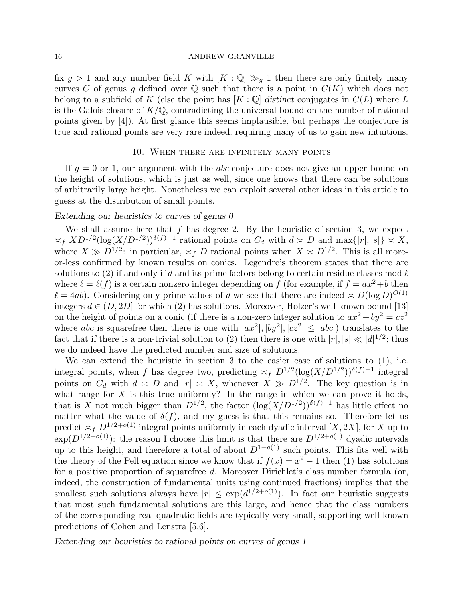fix  $g > 1$  and any number field K with  $[K : \mathbb{Q}] \gg_g 1$  then there are only finitely many curves C of genus g defined over  $\mathbb Q$  such that there is a point in  $C(K)$  which does not belong to a subfield of K (else the point has  $[K: \mathbb{Q}]$  distinct conjugates in  $C(L)$  where L is the Galois closure of  $K/\mathbb{Q}$ , contradicting the universal bound on the number of rational points given by [4]). At first glance this seems implausible, but perhaps the conjecture is true and rational points are very rare indeed, requiring many of us to gain new intuitions.

### 10. When there are infinitely many points

If  $g = 0$  or 1, our argument with the *abc*-conjecture does not give an upper bound on the height of solutions, which is just as well, since one knows that there can be solutions of arbitrarily large height. Nonetheless we can exploit several other ideas in this article to guess at the distribution of small points.

# Extending our heuristics to curves of genus 0

We shall assume here that  $f$  has degree 2. By the heuristic of section 3, we expect  $\asymp_f X D^{1/2} (\log(X/D^{1/2}))^{\delta(f)-1}$  rational points on  $C_d$  with  $d \asymp D$  and  $\max\{|r|, |s|\} \asymp X$ , where  $X \gg D^{1/2}$ : in particular,  $\asymp_f D$  rational points when  $X \asymp D^{1/2}$ . This is all moreor-less confirmed by known results on conics. Legendre's theorem states that there are solutions to (2) if and only if d and its prime factors belong to certain residue classes mod  $\ell$ where  $\ell = \ell(f)$  is a certain nonzero integer depending on f (for example, if  $f = ax^2 + b$  then  $\ell = 4ab$ ). Considering only prime values of d we see that there are indeed  $\approx D(\log D)^{O(1)}$ integers  $d \in (D, 2D]$  for which (2) has solutions. Moreover, Holzer's well-known bound [13] on the height of points on a conic (if there is a non-zero integer solution to  $ax^2 + by^2 = cz^2$ where abc is squarefree then there is one with  $|ax^2|, |by^2|, |cz^2| \le |abc|$  translates to the fact that if there is a non-trivial solution to (2) then there is one with  $|r|, |s| \ll |d|^{1/2}$ ; thus we do indeed have the predicted number and size of solutions.

We can extend the heuristic in section 3 to the easier case of solutions to (1), i.e. integral points, when f has degree two, predicting  $\asymp_f D^{1/2} (\log(X/D^{1/2}))^{\delta(f)-1}$  integral points on  $C_d$  with  $d \leq D$  and  $|r| \leq X$ , whenever  $X \gg D^{1/2}$ . The key question is in what range for  $X$  is this true uniformly? In the range in which we can prove it holds, that is X not much bigger than  $D^{1/2}$ , the factor  $(\log(X/D^{1/2}))^{\delta(f)-1}$  has little effect no matter what the value of  $\delta(f)$ , and my guess is that this remains so. Therefore let us predict  $\asymp_f D^{1/2+o(1)}$  integral points uniformly in each dyadic interval [X, 2X], for X up to  $\exp(D^{1/2+o(1)})$ : the reason I choose this limit is that there are  $D^{1/2+o(1)}$  dyadic intervals up to this height, and therefore a total of about  $D^{1+o(1)}$  such points. This fits well with the theory of the Pell equation since we know that if  $f(x) = x^2 - 1$  then (1) has solutions for a positive proportion of squarefree d. Moreover Dirichlet's class number formula (or, indeed, the construction of fundamental units using continued fractions) implies that the smallest such solutions always have  $|r| \leq \exp(d^{1/2+o(1)})$ . In fact our heuristic suggests that most such fundamental solutions are this large, and hence that the class numbers of the corresponding real quadratic fields are typically very small, supporting well-known predictions of Cohen and Lenstra [5,6].

Extending our heuristics to rational points on curves of genus 1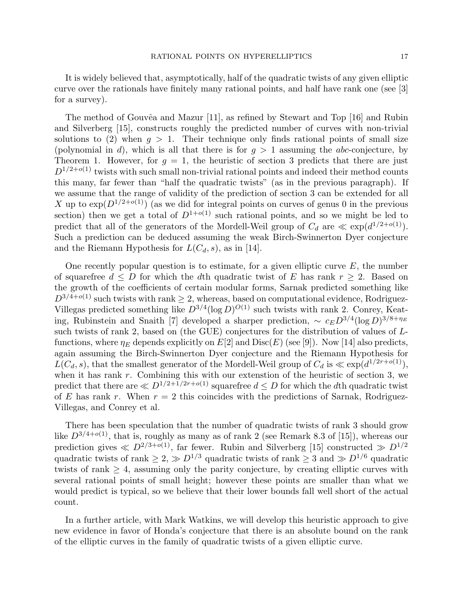It is widely believed that, asymptotically, half of the quadratic twists of any given elliptic curve over the rationals have finitely many rational points, and half have rank one (see [3] for a survey).

The method of Gouvêa and Mazur  $[11]$ , as refined by Stewart and Top  $[16]$  and Rubin and Silverberg [15], constructs roughly the predicted number of curves with non-trivial solutions to (2) when  $g > 1$ . Their technique only finds rational points of small size (polynomial in d), which is all that there is for  $q > 1$  assuming the abc-conjecture, by Theorem 1. However, for  $g = 1$ , the heuristic of section 3 predicts that there are just  $D^{1/2+o(1)}$  twists with such small non-trivial rational points and indeed their method counts this many, far fewer than "half the quadratic twists" (as in the previous paragraph). If we assume that the range of validity of the prediction of section 3 can be extended for all X up to  $\exp(D^{1/2+o(1)})$  (as we did for integral points on curves of genus 0 in the previous section) then we get a total of  $D^{1+o(1)}$  such rational points, and so we might be led to predict that all of the generators of the Mordell-Weil group of  $C_d$  are  $\ll \exp(d^{1/2+o(1)})$ . Such a prediction can be deduced assuming the weak Birch-Swinnerton Dyer conjecture and the Riemann Hypothesis for  $L(C_d, s)$ , as in [14].

One recently popular question is to estimate, for a given elliptic curve  $E$ , the number of squarefree  $d \leq D$  for which the dth quadratic twist of E has rank  $r \geq 2$ . Based on the growth of the coefficients of certain modular forms, Sarnak predicted something like  $D^{3/4+o(1)}$  such twists with rank  $\geq 2$ , whereas, based on computational evidence, Rodriguez-Villegas predicted something like  $D^{3/4}(\log D)^{O(1)}$  such twists with rank 2. Conrey, Keating, Rubinstein and Snaith [7] developed a sharper prediction,  $\sim c_E D^{3/4} (\log D)^{3/8+\eta_E}$ such twists of rank 2, based on (the GUE) conjectures for the distribution of values of Lfunctions, where  $\eta_E$  depends explicitly on  $E[2]$  and  $Disc(E)$  (see [9]). Now [14] also predicts, again assuming the Birch-Swinnerton Dyer conjecture and the Riemann Hypothesis for  $L(C_d, s)$ , that the smallest generator of the Mordell-Weil group of  $C_d$  is  $\ll \exp(d^{1/2r+o(1)})$ , when it has rank  $r$ . Combining this with our extenstion of the heuristic of section 3, we predict that there are  $\ll D^{1/2+\tilde{1}/2r+o(1)}$  squarefree  $d \leq D$  for which the dth quadratic twist of E has rank r. When  $r = 2$  this coincides with the predictions of Sarnak, Rodriguez-Villegas, and Conrey et al.

There has been speculation that the number of quadratic twists of rank 3 should grow like  $D^{3/4+o(1)}$ , that is, roughly as many as of rank 2 (see Remark 8.3 of [15]), whereas our prediction gives  $\ll D^{2/3+o(1)}$ , far fewer. Rubin and Silverberg [15] constructed  $\gg D^{1/2}$ quadratic twists of rank  $\geq 2$ ,  $\gg D^{1/3}$  quadratic twists of rank  $\geq 3$  and  $\gg D^{1/6}$  quadratic twists of rank  $\geq 4$ , assuming only the parity conjecture, by creating elliptic curves with several rational points of small height; however these points are smaller than what we would predict is typical, so we believe that their lower bounds fall well short of the actual count.

In a further article, with Mark Watkins, we will develop this heuristic approach to give new evidence in favor of Honda's conjecture that there is an absolute bound on the rank of the elliptic curves in the family of quadratic twists of a given elliptic curve.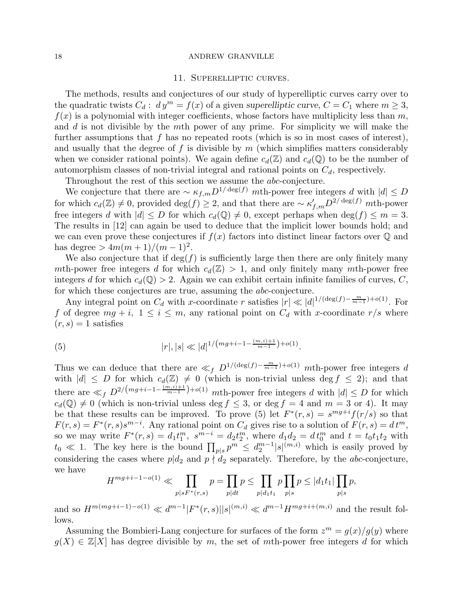#### 11. Superelliptic curves.

The methods, results and conjectures of our study of hyperelliptic curves carry over to the quadratic twists  $C_d$ :  $dy^m = f(x)$  of a given superelliptic curve,  $C = C_1$  where  $m \geq 3$ ,  $f(x)$  is a polynomial with integer coefficients, whose factors have multiplicity less than m, and  $d$  is not divisible by the  $m$ th power of any prime. For simplicity we will make the further assumptions that f has no repeated roots (which is so in most cases of interest), and usually that the degree of f is divisible by  $m$  (which simplifies matters considerably when we consider rational points). We again define  $c_d(\mathbb{Z})$  and  $c_d(\mathbb{Q})$  to be the number of automorphism classes of non-trivial integral and rational points on  $C_d$ , respectively.

Throughout the rest of this section we assume the abc-conjecture.

We conjecture that there are  $\sim \kappa_{f,m} D^{1/\deg(f)}$  mth-power free integers d with  $|d| \leq D$ for which  $c_d(\mathbb{Z}) \neq 0$ , provided  $\deg(f) \geq 2$ , and that there are  $\sim \kappa'_{f,m} D^{2/\deg(f)}$  mth-power free integers d with  $|d| \leq D$  for which  $c_d(\mathbb{Q}) \neq 0$ , except perhaps when  $\deg(f) \leq m = 3$ . The results in [12] can again be used to deduce that the implicit lower bounds hold; and we can even prove these conjectures if  $f(x)$  factors into distinct linear factors over  $\mathbb Q$  and has degree  $> 4m(m+1)/(m-1)^2$ .

We also conjecture that if  $\deg(f)$  is sufficiently large then there are only finitely many mth-power free integers d for which  $c_d(\mathbb{Z}) > 1$ , and only finitely many mth-power free integers d for which  $c_d(\mathbb{Q}) > 2$ . Again we can exhibit certain infinite families of curves, C, for which these conjectures are true, assuming the abc-conjecture.

Any integral point on  $C_d$  with x-coordinate r satisfies  $|r| \ll |d|^{1/(\deg(f) - \frac{m}{m-1}) + o(1)}$ . For f of degree  $mg + i$ ,  $1 \leq i \leq m$ , any rational point on  $C_d$  with x-coordinate  $r/s$  where  $(r, s) = 1$  satisfies

(5) 
$$
|r|, |s| \ll |d|^{1/(mg+i-1-\frac{(m,i)+1}{m-1})+o(1)}.
$$

Thus we can deduce that there are  $\ll_f D^{1/(\deg(f) - \frac{m}{m-1}) + o(1)}$  mth-power free integers d with  $|d| \leq D$  for which  $c_d(\mathbb{Z}) \neq 0$  (which is non-trivial unless deg  $f \leq 2$ ); and that there are  $\ll_f D^{2/(mg+i-1-\frac{(m,i)+1}{m-1})+o(1)}$  mth-power free integers d with  $|d| \leq D$  for which  $c_d(\mathbb{Q}) \neq 0$  (which is non-trivial unless deg  $f \leq 3$ , or deg  $f = 4$  and  $m = 3$  or 4). It may be that these results can be improved. To prove (5) let  $F^*(r,s) = s^{mg+i}f(r/s)$  so that  $F(r, s) = F^*(r, s) s^{m-i}$ . Any rational point on  $C_d$  gives rise to a solution of  $F(r, s) = dt^m$ , so we may write  $F^*(r, s) = d_1 t_1^m$ ,  $s^{m-i} = d_2 t_2^m$ , where  $d_1 d_2 = d t_0^m$  and  $t = t_0 t_1 t_2$  with  $t_0 \ll 1$ . The key here is the bound  $\prod_{p|s} p^m \leq d_2^{m-1}$  $\binom{m-1}{2} |s|^{(m,i)}$  which is easily proved by considering the cases where  $p|d_2$  and  $p \nmid d_2$  separately. Therefore, by the abc-conjecture, we have

$$
H^{mg+i-1-o(1)} \ll \prod_{p|sF^*(r,s)} p = \prod_{p|dt} p \le \prod_{p|d_1t_1} p \prod_{p|s} p \le |d_1t_1| \prod_{p|s} p,
$$

and so  $H^{m(mg+i-1)-o(1)} \ll d^{m-1} |F^*(r, s)| |s|^{(m,i)} \ll d^{m-1} H^{mg+i+(m,i)}$  and the result follows.

Assuming the Bombieri-Lang conjecture for surfaces of the form  $z^m = g(x)/g(y)$  where  $g(X) \in \mathbb{Z}[X]$  has degree divisible by m, the set of mth-power free integers d for which